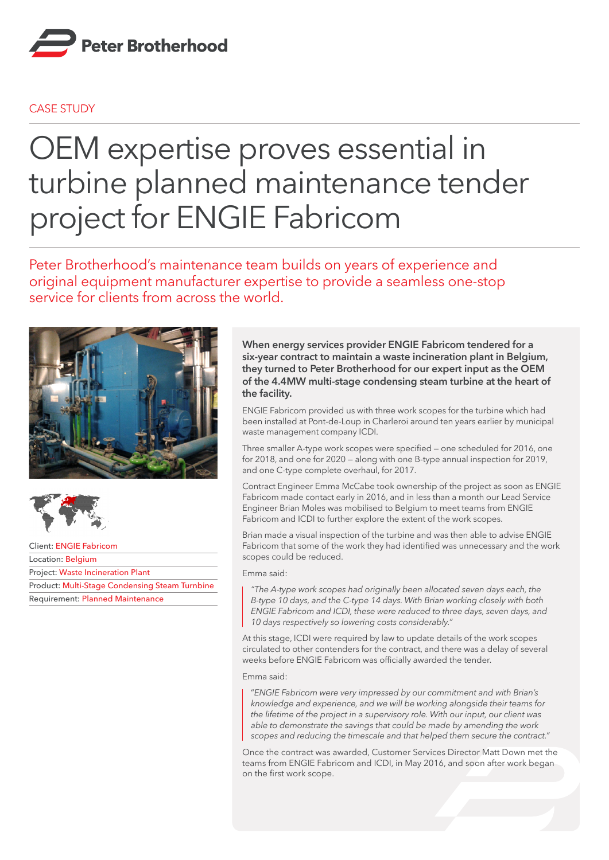

## CASE STUDY

## OEM expertise proves essential in turbine planned maintenance tender project for ENGIE Fabricom

Peter Brotherhood's maintenance team builds on years of experience and original equipment manufacturer expertise to provide a seamless one-stop service for clients from across the world.





Client: ENGIE Fabricom Location: Belgium Project: Waste Incineration Plant Product: Multi-Stage Condensing Steam Turnbine Requirement: Planned Maintenance

## **When energy services provider ENGIE Fabricom tendered for a six-year contract to maintain a waste incineration plant in Belgium, they turned to Peter Brotherhood for our expert input as the OEM of the 4.4MW multi-stage condensing steam turbine at the heart of the facility.**

ENGIE Fabricom provided us with three work scopes for the turbine which had been installed at Pont-de-Loup in Charleroi around ten years earlier by municipal waste management company ICDI.

Three smaller A-type work scopes were specified — one scheduled for 2016, one for 2018, and one for 2020 — along with one B-type annual inspection for 2019, and one C-type complete overhaul, for 2017.

Contract Engineer Emma McCabe took ownership of the project as soon as ENGIE Fabricom made contact early in 2016, and in less than a month our Lead Service Engineer Brian Moles was mobilised to Belgium to meet teams from ENGIE Fabricom and ICDI to further explore the extent of the work scopes.

Brian made a visual inspection of the turbine and was then able to advise ENGIE Fabricom that some of the work they had identified was unnecessary and the work scopes could be reduced.

Emma said:

*"The A-type work scopes had originally been allocated seven days each, the B-type 10 days, and the C-type 14 days. With Brian working closely with both ENGIE Fabricom and ICDI, these were reduced to three days, seven days, and 10 days respectively so lowering costs considerably."*

At this stage, ICDI were required by law to update details of the work scopes circulated to other contenders for the contract, and there was a delay of several weeks before ENGIE Fabricom was officially awarded the tender.

Emma said:

"*ENGIE Fabricom were very impressed by our commitment and with Brian's knowledge and experience, and we will be working alongside their teams for the lifetime of the project in a supervisory role. With our input, our client was able to demonstrate the savings that could be made by amending the work scopes and reducing the timescale and that helped them secure the contract."*

Once the contract was awarded, Customer Services Director Matt Down met the teams from ENGIE Fabricom and ICDI, in May 2016, and soon after work began on the first work scope.